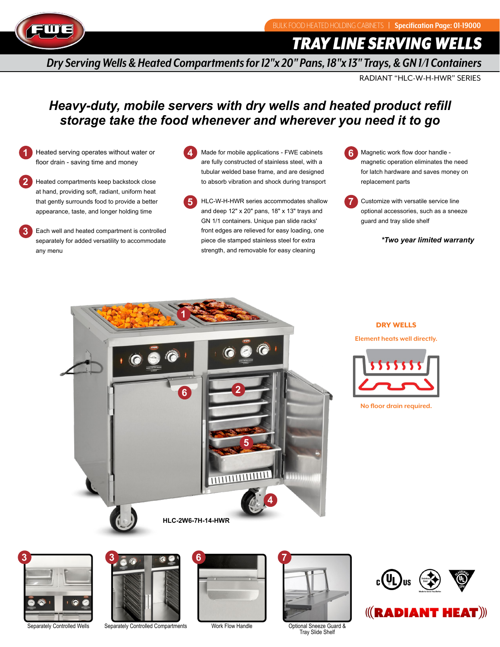

*TRAY LINE SERVING WELLS*

*Dry Serving Wells & Heated Compartments for 12"x 20" Pans, 18"x 13" Trays, & GN 1/1 Containers*

RADIANT "HLC-W-H-HWR" SERIES

# *Heavy-duty, mobile servers with dry wells and heated product refill storage take the food whenever and wherever you need it to go*

**1** Heated serving operates without water or floor drain - saving time and money

**2** Heated compartments keep backstock close at hand, providing soft, radiant, uniform heat that gently surrounds food to provide a better appearance, taste, and longer holding time

**3** Each well and heated compartment is controlled separately for added versatility to accommodate any menu

- **4** Made for mobile applications - FWE cabinets are fully constructed of stainless steel, with a tubular welded base frame, and are designed to absorb vibration and shock during transport
- **5** HLC-W-H-HWR series accommodates shallow and deep 12" x 20" pans, 18" x 13" trays and GN 1/1 containers. Unique pan slide racks' front edges are relieved for easy loading, one piece die stamped stainless steel for extra strength, and removable for easy cleaning

**6** Magnetic work flow door handle magnetic operation eliminates the need for latch hardware and saves money on replacement parts

**7** Customize with versatile service line optional accessories, such as a sneeze guard and tray slide shelf

 *\*Two year limited warranty*



## DRY WELLS

**Element heats well directly.**



**No floor drain required.**





Separately Controlled Wells Separately Controlled Compartments Work Flow Handle





Optional Sneeze Guard & Tray Slide Shelf